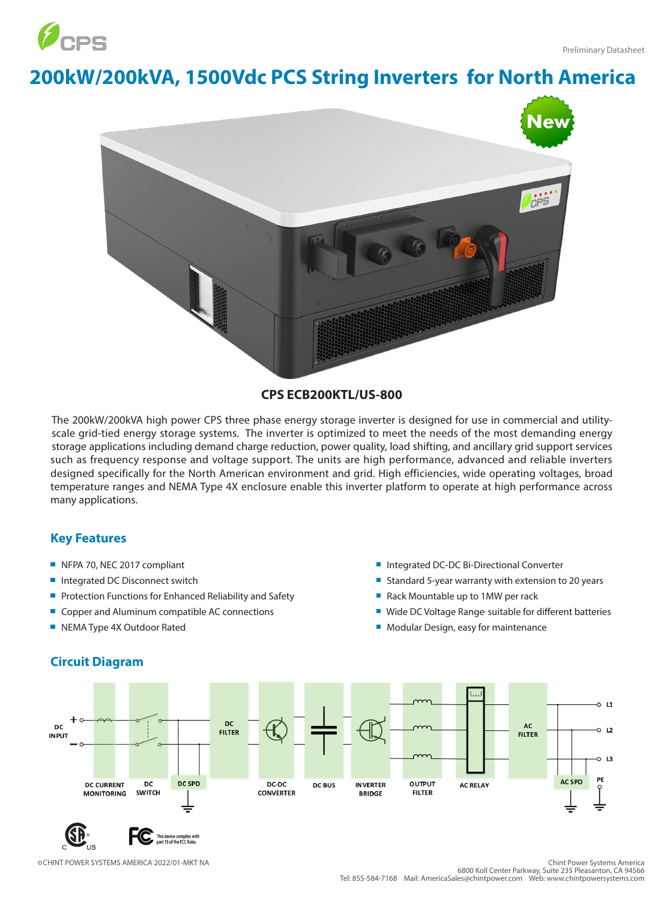

## **200kW/200kVA, 1500Vdc PCS String Inverters for North America**



## **CPS ECB200KTL/US-800**

The 200kW/200kVA high power CPS three phase energy storage inverter is designed for use in commercial and utilityscale grid-tied energy storage systems. The inverter is optimized to meet the needs of the most demanding energy storage applications including demand charge reduction, power quality, load shifting, and ancillary grid support services such as frequency response and voltage support. The units are high performance, advanced and reliable inverters designed specifically for the North American environment and grid. High efficiencies, wide operating voltages, broad temperature ranges and NEMA Type 4X enclosure enable this inverter platform to operate at high performance across many applications.

## **Key Features**

- NFPA 70, NEC 2017 compliant
- Integrated DC Disconnect switch
- Protection Functions for Enhanced Reliability and Safety  $\overline{\phantom{a}}$
- $\overline{\phantom{a}}$ Copper and Aluminum compatible AC connections
- NEMA Type 4X Outdoor Rated
- Integrated DC-DC Bi-Directional Converter
- Standard 5-year warranty with extension to 20 years
- Rack Mountable up to 1MW per rack
- Wide DC Voltage Range suitable for different batteries
- **Modular Design, easy for maintenance**



## **Circuit Diagram**